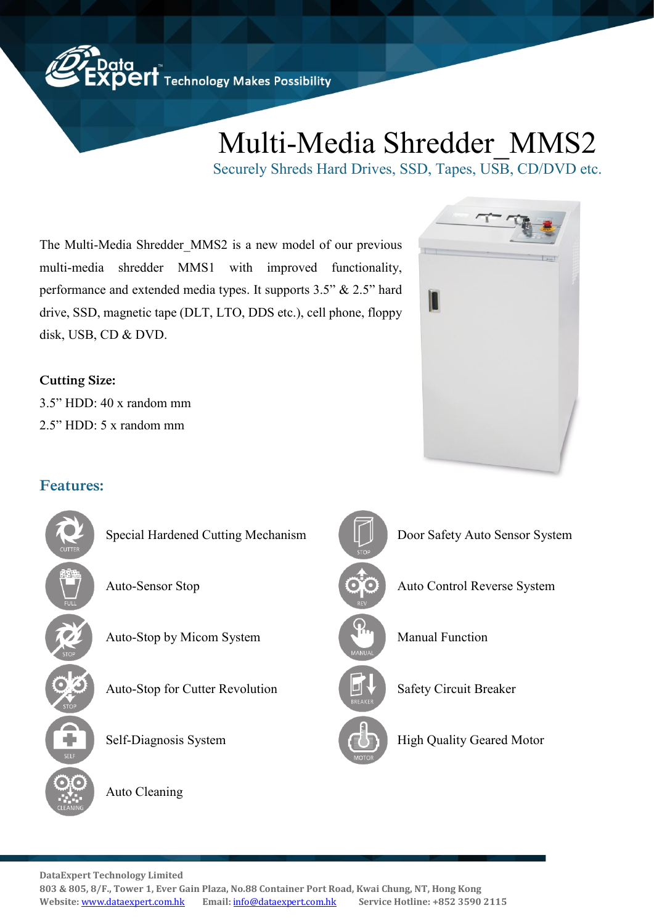## Multi-Media Shredder\_MMS2

I

Securely Shreds Hard Drives, SSD, Tapes, USB, CD/DVD etc.

The Multi-Media Shredder\_MMS2 is a new model of our previous multi-media shredder MMS1 with improved functionality, performance and extended media types. It supports 3.5" & 2.5" hard drive, SSD, magnetic tape (DLT, LTO, DDS etc.), cell phone, floppy disk, USB, CD & DVD.

**Cutting Size:**  3.5" HDD: 40 x random mm 2.5" HDD: 5 x random mm

## **Features:**



**DataExpert Technology Limited** 

**803 & 805, 8/F., Tower 1, Ever Gain Plaza, No.88 Container Port Road, Kwai Chung, NT, Hong Kong Website:** <www.dataexpert.com.hk> **Email:** [info@dataexpert.com.hk](mailto:info@dataexpert.com.hk) **Service Hotline: +852 3590 2115**